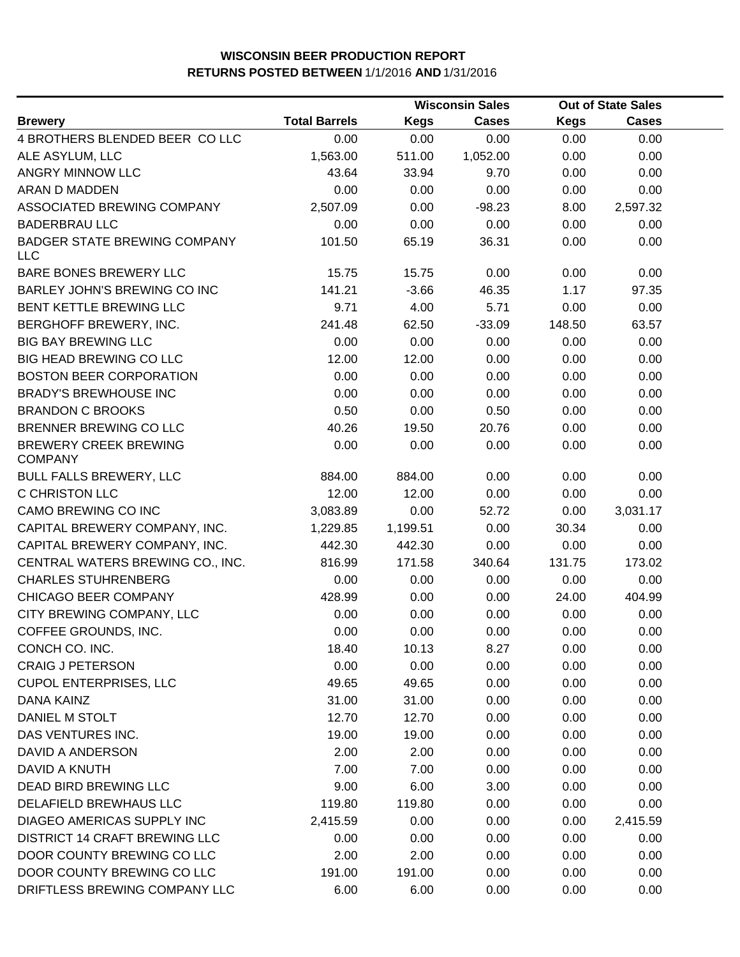|                                                   |                      |             | <b>Wisconsin Sales</b> |             | <b>Out of State Sales</b> |  |
|---------------------------------------------------|----------------------|-------------|------------------------|-------------|---------------------------|--|
| <b>Brewery</b>                                    | <b>Total Barrels</b> | <b>Kegs</b> | <b>Cases</b>           | <b>Kegs</b> | <b>Cases</b>              |  |
| 4 BROTHERS BLENDED BEER COLLC                     | 0.00                 | 0.00        | 0.00                   | 0.00        | 0.00                      |  |
| ALE ASYLUM, LLC                                   | 1,563.00             | 511.00      | 1,052.00               | 0.00        | 0.00                      |  |
| ANGRY MINNOW LLC                                  | 43.64                | 33.94       | 9.70                   | 0.00        | 0.00                      |  |
| ARAN D MADDEN                                     | 0.00                 | 0.00        | 0.00                   | 0.00        | 0.00                      |  |
| ASSOCIATED BREWING COMPANY                        | 2,507.09             | 0.00        | $-98.23$               | 8.00        | 2,597.32                  |  |
| <b>BADERBRAU LLC</b>                              | 0.00                 | 0.00        | 0.00                   | 0.00        | 0.00                      |  |
| <b>BADGER STATE BREWING COMPANY</b><br><b>LLC</b> | 101.50               | 65.19       | 36.31                  | 0.00        | 0.00                      |  |
| BARE BONES BREWERY LLC                            | 15.75                | 15.75       | 0.00                   | 0.00        | 0.00                      |  |
| BARLEY JOHN'S BREWING CO INC                      | 141.21               | $-3.66$     | 46.35                  | 1.17        | 97.35                     |  |
| BENT KETTLE BREWING LLC                           | 9.71                 | 4.00        | 5.71                   | 0.00        | 0.00                      |  |
| BERGHOFF BREWERY, INC.                            | 241.48               | 62.50       | $-33.09$               | 148.50      | 63.57                     |  |
| <b>BIG BAY BREWING LLC</b>                        | 0.00                 | 0.00        | 0.00                   | 0.00        | 0.00                      |  |
| <b>BIG HEAD BREWING CO LLC</b>                    | 12.00                | 12.00       | 0.00                   | 0.00        | 0.00                      |  |
| <b>BOSTON BEER CORPORATION</b>                    | 0.00                 | 0.00        | 0.00                   | 0.00        | 0.00                      |  |
| <b>BRADY'S BREWHOUSE INC</b>                      | 0.00                 | 0.00        | 0.00                   | 0.00        | 0.00                      |  |
| <b>BRANDON C BROOKS</b>                           | 0.50                 | 0.00        | 0.50                   | 0.00        | 0.00                      |  |
| BRENNER BREWING CO LLC                            | 40.26                | 19.50       | 20.76                  | 0.00        | 0.00                      |  |
| <b>BREWERY CREEK BREWING</b><br><b>COMPANY</b>    | 0.00                 | 0.00        | 0.00                   | 0.00        | 0.00                      |  |
| <b>BULL FALLS BREWERY, LLC</b>                    | 884.00               | 884.00      | 0.00                   | 0.00        | 0.00                      |  |
| C CHRISTON LLC                                    | 12.00                | 12.00       | 0.00                   | 0.00        | 0.00                      |  |
| CAMO BREWING CO INC                               | 3,083.89             | 0.00        | 52.72                  | 0.00        | 3,031.17                  |  |
| CAPITAL BREWERY COMPANY, INC.                     | 1,229.85             | 1,199.51    | 0.00                   | 30.34       | 0.00                      |  |
| CAPITAL BREWERY COMPANY, INC.                     | 442.30               | 442.30      | 0.00                   | 0.00        | 0.00                      |  |
| CENTRAL WATERS BREWING CO., INC.                  | 816.99               | 171.58      | 340.64                 | 131.75      | 173.02                    |  |
| <b>CHARLES STUHRENBERG</b>                        | 0.00                 | 0.00        | 0.00                   | 0.00        | 0.00                      |  |
| CHICAGO BEER COMPANY                              | 428.99               | 0.00        | 0.00                   | 24.00       | 404.99                    |  |
| CITY BREWING COMPANY, LLC                         | 0.00                 | 0.00        | 0.00                   | 0.00        | 0.00                      |  |
| COFFEE GROUNDS, INC.                              | 0.00                 | 0.00        | 0.00                   | 0.00        | 0.00                      |  |
| CONCH CO. INC.                                    | 18.40                | 10.13       | 8.27                   | 0.00        | 0.00                      |  |
| <b>CRAIG J PETERSON</b>                           | 0.00                 | 0.00        | 0.00                   | 0.00        | 0.00                      |  |
| <b>CUPOL ENTERPRISES, LLC</b>                     | 49.65                | 49.65       | 0.00                   | 0.00        | 0.00                      |  |
| DANA KAINZ                                        | 31.00                | 31.00       | 0.00                   | 0.00        | 0.00                      |  |
| DANIEL M STOLT                                    | 12.70                | 12.70       | 0.00                   | 0.00        | 0.00                      |  |
| DAS VENTURES INC.                                 | 19.00                | 19.00       | 0.00                   | 0.00        | 0.00                      |  |
| DAVID A ANDERSON                                  | 2.00                 | 2.00        | 0.00                   | 0.00        | 0.00                      |  |
| DAVID A KNUTH                                     | 7.00                 | 7.00        | 0.00                   | 0.00        | 0.00                      |  |
| DEAD BIRD BREWING LLC                             | 9.00                 | 6.00        | 3.00                   | 0.00        | 0.00                      |  |
| DELAFIELD BREWHAUS LLC                            | 119.80               | 119.80      | 0.00                   | 0.00        | 0.00                      |  |
| DIAGEO AMERICAS SUPPLY INC                        | 2,415.59             | 0.00        | 0.00                   | 0.00        | 2,415.59                  |  |
| DISTRICT 14 CRAFT BREWING LLC                     | 0.00                 | 0.00        | 0.00                   | 0.00        | 0.00                      |  |
| DOOR COUNTY BREWING CO LLC                        | 2.00                 | 2.00        | 0.00                   | 0.00        | 0.00                      |  |
| DOOR COUNTY BREWING CO LLC                        | 191.00               | 191.00      | 0.00                   | 0.00        | 0.00                      |  |
| DRIFTLESS BREWING COMPANY LLC                     | 6.00                 | 6.00        | 0.00                   | 0.00        | 0.00                      |  |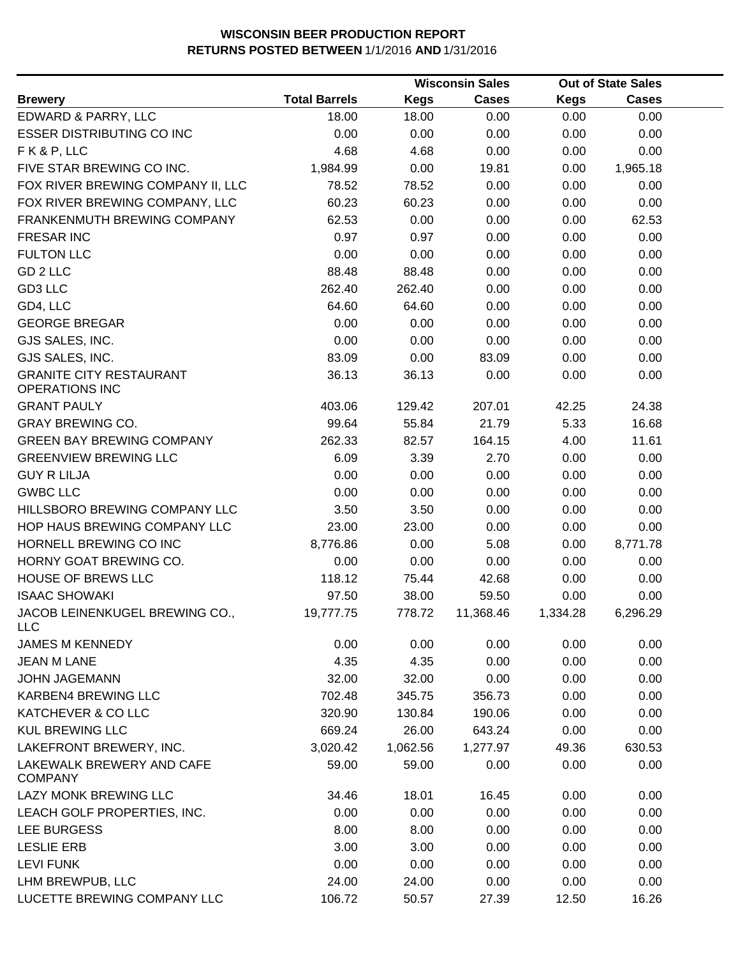|                                                         |                      |             | <b>Wisconsin Sales</b> |             | <b>Out of State Sales</b> |  |
|---------------------------------------------------------|----------------------|-------------|------------------------|-------------|---------------------------|--|
| <b>Brewery</b>                                          | <b>Total Barrels</b> | <b>Kegs</b> | <b>Cases</b>           | <b>Kegs</b> | <b>Cases</b>              |  |
| EDWARD & PARRY, LLC                                     | 18.00                | 18.00       | 0.00                   | 0.00        | 0.00                      |  |
| <b>ESSER DISTRIBUTING CO INC</b>                        | 0.00                 | 0.00        | 0.00                   | 0.00        | 0.00                      |  |
| FK&P, LLC                                               | 4.68                 | 4.68        | 0.00                   | 0.00        | 0.00                      |  |
| FIVE STAR BREWING CO INC.                               | 1,984.99             | 0.00        | 19.81                  | 0.00        | 1,965.18                  |  |
| FOX RIVER BREWING COMPANY II, LLC                       | 78.52                | 78.52       | 0.00                   | 0.00        | 0.00                      |  |
| FOX RIVER BREWING COMPANY, LLC                          | 60.23                | 60.23       | 0.00                   | 0.00        | 0.00                      |  |
| FRANKENMUTH BREWING COMPANY                             | 62.53                | 0.00        | 0.00                   | 0.00        | 62.53                     |  |
| <b>FRESAR INC</b>                                       | 0.97                 | 0.97        | 0.00                   | 0.00        | 0.00                      |  |
| <b>FULTON LLC</b>                                       | 0.00                 | 0.00        | 0.00                   | 0.00        | 0.00                      |  |
| GD 2 LLC                                                | 88.48                | 88.48       | 0.00                   | 0.00        | 0.00                      |  |
| GD3 LLC                                                 | 262.40               | 262.40      | 0.00                   | 0.00        | 0.00                      |  |
| GD4, LLC                                                | 64.60                | 64.60       | 0.00                   | 0.00        | 0.00                      |  |
| <b>GEORGE BREGAR</b>                                    | 0.00                 | 0.00        | 0.00                   | 0.00        | 0.00                      |  |
| GJS SALES, INC.                                         | 0.00                 | 0.00        | 0.00                   | 0.00        | 0.00                      |  |
| GJS SALES, INC.                                         | 83.09                | 0.00        | 83.09                  | 0.00        | 0.00                      |  |
| <b>GRANITE CITY RESTAURANT</b><br><b>OPERATIONS INC</b> | 36.13                | 36.13       | 0.00                   | 0.00        | 0.00                      |  |
| <b>GRANT PAULY</b>                                      | 403.06               | 129.42      | 207.01                 | 42.25       | 24.38                     |  |
| <b>GRAY BREWING CO.</b>                                 | 99.64                | 55.84       | 21.79                  | 5.33        | 16.68                     |  |
| <b>GREEN BAY BREWING COMPANY</b>                        | 262.33               | 82.57       | 164.15                 | 4.00        | 11.61                     |  |
| <b>GREENVIEW BREWING LLC</b>                            | 6.09                 | 3.39        | 2.70                   | 0.00        | 0.00                      |  |
| <b>GUY R LILJA</b>                                      | 0.00                 | 0.00        | 0.00                   | 0.00        | 0.00                      |  |
| <b>GWBC LLC</b>                                         | 0.00                 | 0.00        | 0.00                   | 0.00        | 0.00                      |  |
| HILLSBORO BREWING COMPANY LLC                           | 3.50                 | 3.50        | 0.00                   | 0.00        | 0.00                      |  |
| HOP HAUS BREWING COMPANY LLC                            | 23.00                | 23.00       | 0.00                   | 0.00        | 0.00                      |  |
| HORNELL BREWING CO INC                                  | 8,776.86             | 0.00        | 5.08                   | 0.00        | 8,771.78                  |  |
| HORNY GOAT BREWING CO.                                  | 0.00                 | 0.00        | 0.00                   | 0.00        | 0.00                      |  |
| <b>HOUSE OF BREWS LLC</b>                               | 118.12               | 75.44       | 42.68                  | 0.00        | 0.00                      |  |
| <b>ISAAC SHOWAKI</b>                                    | 97.50                | 38.00       | 59.50                  | 0.00        | 0.00                      |  |
| JACOB LEINENKUGEL BREWING CO.,<br><b>LLC</b>            | 19,777.75            | 778.72      | 11,368.46              | 1,334.28    | 6,296.29                  |  |
| <b>JAMES M KENNEDY</b>                                  | 0.00                 | 0.00        | 0.00                   | 0.00        | 0.00                      |  |
| <b>JEAN M LANE</b>                                      | 4.35                 | 4.35        | 0.00                   | 0.00        | 0.00                      |  |
| <b>JOHN JAGEMANN</b>                                    | 32.00                | 32.00       | 0.00                   | 0.00        | 0.00                      |  |
| KARBEN4 BREWING LLC                                     | 702.48               | 345.75      | 356.73                 | 0.00        | 0.00                      |  |
| <b>KATCHEVER &amp; CO LLC</b>                           | 320.90               | 130.84      | 190.06                 | 0.00        | 0.00                      |  |
| <b>KUL BREWING LLC</b>                                  | 669.24               | 26.00       | 643.24                 | 0.00        | 0.00                      |  |
| LAKEFRONT BREWERY, INC.                                 | 3,020.42             | 1,062.56    | 1,277.97               | 49.36       | 630.53                    |  |
| LAKEWALK BREWERY AND CAFE<br><b>COMPANY</b>             | 59.00                | 59.00       | 0.00                   | 0.00        | 0.00                      |  |
| <b>LAZY MONK BREWING LLC</b>                            | 34.46                | 18.01       | 16.45                  | 0.00        | 0.00                      |  |
| LEACH GOLF PROPERTIES, INC.                             | 0.00                 | 0.00        | 0.00                   | 0.00        | 0.00                      |  |
| LEE BURGESS                                             | 8.00                 | 8.00        | 0.00                   | 0.00        | 0.00                      |  |
| <b>LESLIE ERB</b>                                       | 3.00                 | 3.00        | 0.00                   | 0.00        | 0.00                      |  |
| <b>LEVI FUNK</b>                                        | 0.00                 | 0.00        | 0.00                   | 0.00        | 0.00                      |  |
| LHM BREWPUB, LLC                                        | 24.00                | 24.00       | 0.00                   | 0.00        | 0.00                      |  |
| LUCETTE BREWING COMPANY LLC                             | 106.72               | 50.57       | 27.39                  | 12.50       | 16.26                     |  |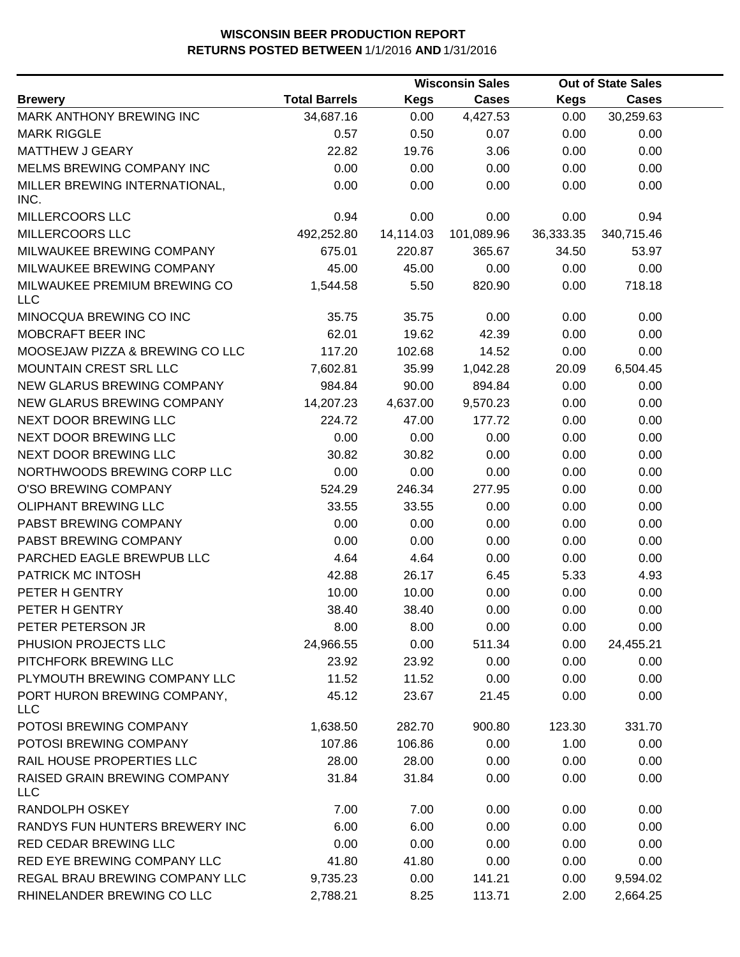|                                            |                      |             | <b>Wisconsin Sales</b> |           | <b>Out of State Sales</b> |  |
|--------------------------------------------|----------------------|-------------|------------------------|-----------|---------------------------|--|
| <b>Brewery</b>                             | <b>Total Barrels</b> | <b>Kegs</b> | <b>Cases</b>           | Kegs      | <b>Cases</b>              |  |
| MARK ANTHONY BREWING INC                   | 34,687.16            | 0.00        | 4,427.53               | 0.00      | 30,259.63                 |  |
| <b>MARK RIGGLE</b>                         | 0.57                 | 0.50        | 0.07                   | 0.00      | 0.00                      |  |
| <b>MATTHEW J GEARY</b>                     | 22.82                | 19.76       | 3.06                   | 0.00      | 0.00                      |  |
| MELMS BREWING COMPANY INC                  | 0.00                 | 0.00        | 0.00                   | 0.00      | 0.00                      |  |
| MILLER BREWING INTERNATIONAL,              | 0.00                 | 0.00        | 0.00                   | 0.00      | 0.00                      |  |
| INC.                                       |                      |             |                        |           |                           |  |
| MILLERCOORS LLC                            | 0.94                 | 0.00        | 0.00                   | 0.00      | 0.94                      |  |
| MILLERCOORS LLC                            | 492,252.80           | 14,114.03   | 101,089.96             | 36,333.35 | 340,715.46                |  |
| MILWAUKEE BREWING COMPANY                  | 675.01               | 220.87      | 365.67                 | 34.50     | 53.97                     |  |
| MILWAUKEE BREWING COMPANY                  | 45.00                | 45.00       | 0.00                   | 0.00      | 0.00                      |  |
| MILWAUKEE PREMIUM BREWING CO<br><b>LLC</b> | 1,544.58             | 5.50        | 820.90                 | 0.00      | 718.18                    |  |
| MINOCQUA BREWING CO INC                    | 35.75                | 35.75       | 0.00                   | 0.00      | 0.00                      |  |
| MOBCRAFT BEER INC                          | 62.01                | 19.62       | 42.39                  | 0.00      | 0.00                      |  |
| MOOSEJAW PIZZA & BREWING CO LLC            | 117.20               | 102.68      | 14.52                  | 0.00      | 0.00                      |  |
| MOUNTAIN CREST SRL LLC                     | 7,602.81             | 35.99       | 1,042.28               | 20.09     | 6,504.45                  |  |
| NEW GLARUS BREWING COMPANY                 | 984.84               | 90.00       | 894.84                 | 0.00      | 0.00                      |  |
| NEW GLARUS BREWING COMPANY                 | 14,207.23            | 4,637.00    | 9,570.23               | 0.00      | 0.00                      |  |
| NEXT DOOR BREWING LLC                      | 224.72               | 47.00       | 177.72                 | 0.00      | 0.00                      |  |
| NEXT DOOR BREWING LLC                      | 0.00                 | 0.00        | 0.00                   | 0.00      | 0.00                      |  |
| NEXT DOOR BREWING LLC                      | 30.82                | 30.82       | 0.00                   | 0.00      | 0.00                      |  |
| NORTHWOODS BREWING CORP LLC                | 0.00                 | 0.00        | 0.00                   | 0.00      | 0.00                      |  |
| O'SO BREWING COMPANY                       | 524.29               | 246.34      | 277.95                 | 0.00      | 0.00                      |  |
| OLIPHANT BREWING LLC                       | 33.55                | 33.55       | 0.00                   | 0.00      | 0.00                      |  |
| PABST BREWING COMPANY                      | 0.00                 | 0.00        | 0.00                   | 0.00      | 0.00                      |  |
| PABST BREWING COMPANY                      | 0.00                 | 0.00        | 0.00                   | 0.00      | 0.00                      |  |
| PARCHED EAGLE BREWPUB LLC                  | 4.64                 | 4.64        | 0.00                   | 0.00      | 0.00                      |  |
| PATRICK MC INTOSH                          | 42.88                | 26.17       | 6.45                   | 5.33      | 4.93                      |  |
| PETER H GENTRY                             | 10.00                | 10.00       | 0.00                   | 0.00      | 0.00                      |  |
| PETER H GENTRY                             | 38.40                | 38.40       | 0.00                   | 0.00      | 0.00                      |  |
| PETER PETERSON JR                          | 8.00                 | 8.00        | 0.00                   | 0.00      | 0.00                      |  |
| PHUSION PROJECTS LLC                       | 24,966.55            | 0.00        | 511.34                 | 0.00      | 24,455.21                 |  |
| PITCHFORK BREWING LLC                      | 23.92                | 23.92       | 0.00                   | 0.00      | 0.00                      |  |
| PLYMOUTH BREWING COMPANY LLC               | 11.52                | 11.52       | 0.00                   | 0.00      | 0.00                      |  |
| PORT HURON BREWING COMPANY,<br><b>LLC</b>  | 45.12                | 23.67       | 21.45                  | 0.00      | 0.00                      |  |
| POTOSI BREWING COMPANY                     | 1,638.50             | 282.70      | 900.80                 | 123.30    | 331.70                    |  |
| POTOSI BREWING COMPANY                     | 107.86               | 106.86      | 0.00                   | 1.00      | 0.00                      |  |
| RAIL HOUSE PROPERTIES LLC                  | 28.00                | 28.00       | 0.00                   | 0.00      | 0.00                      |  |
| RAISED GRAIN BREWING COMPANY<br><b>LLC</b> | 31.84                | 31.84       | 0.00                   | 0.00      | 0.00                      |  |
| RANDOLPH OSKEY                             | 7.00                 | 7.00        | 0.00                   | 0.00      | 0.00                      |  |
| RANDYS FUN HUNTERS BREWERY INC             | 6.00                 | 6.00        | 0.00                   | 0.00      | 0.00                      |  |
| RED CEDAR BREWING LLC                      | 0.00                 | 0.00        | 0.00                   | 0.00      | 0.00                      |  |
| RED EYE BREWING COMPANY LLC                | 41.80                | 41.80       | 0.00                   | 0.00      | 0.00                      |  |
| REGAL BRAU BREWING COMPANY LLC             | 9,735.23             | 0.00        | 141.21                 | 0.00      | 9,594.02                  |  |
| RHINELANDER BREWING CO LLC                 | 2,788.21             | 8.25        | 113.71                 | 2.00      | 2,664.25                  |  |
|                                            |                      |             |                        |           |                           |  |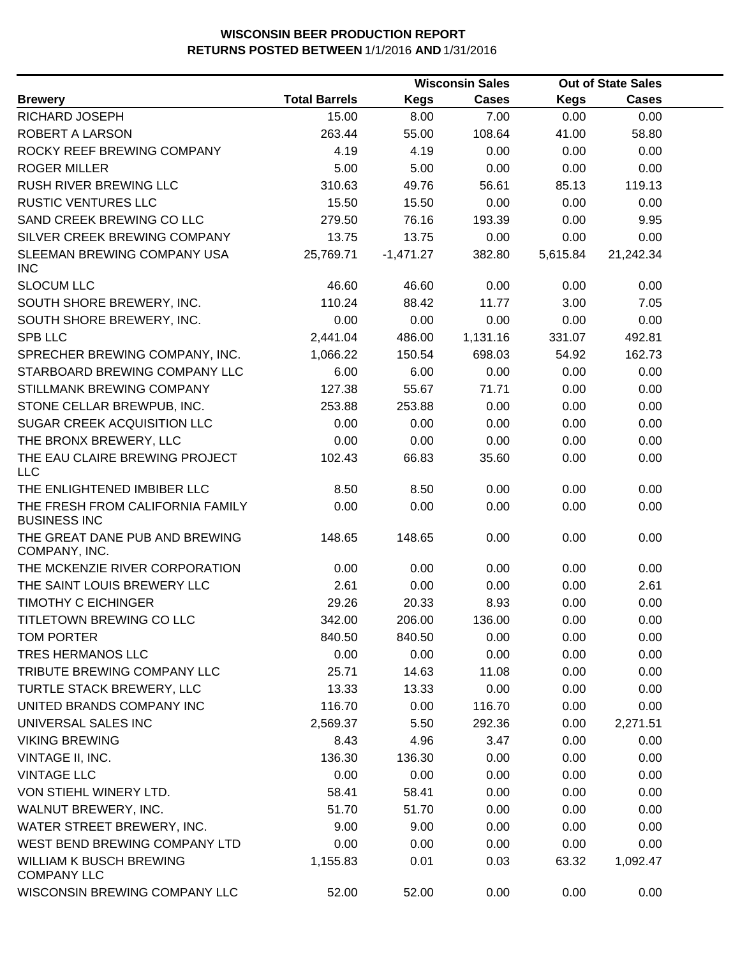|                                                         |                      |             | <b>Wisconsin Sales</b> |          | <b>Out of State Sales</b> |  |  |
|---------------------------------------------------------|----------------------|-------------|------------------------|----------|---------------------------|--|--|
| <b>Brewery</b>                                          | <b>Total Barrels</b> | <b>Kegs</b> | <b>Cases</b>           | Kegs     | <b>Cases</b>              |  |  |
| RICHARD JOSEPH                                          | 15.00                | 8.00        | 7.00                   | 0.00     | 0.00                      |  |  |
| ROBERT A LARSON                                         | 263.44               | 55.00       | 108.64                 | 41.00    | 58.80                     |  |  |
| ROCKY REEF BREWING COMPANY                              | 4.19                 | 4.19        | 0.00                   | 0.00     | 0.00                      |  |  |
| <b>ROGER MILLER</b>                                     | 5.00                 | 5.00        | 0.00                   | 0.00     | 0.00                      |  |  |
| <b>RUSH RIVER BREWING LLC</b>                           | 310.63               | 49.76       | 56.61                  | 85.13    | 119.13                    |  |  |
| <b>RUSTIC VENTURES LLC</b>                              | 15.50                | 15.50       | 0.00                   | 0.00     | 0.00                      |  |  |
| SAND CREEK BREWING CO LLC                               | 279.50               | 76.16       | 193.39                 | 0.00     | 9.95                      |  |  |
| SILVER CREEK BREWING COMPANY                            | 13.75                | 13.75       | 0.00                   | 0.00     | 0.00                      |  |  |
| SLEEMAN BREWING COMPANY USA<br><b>INC</b>               | 25,769.71            | $-1,471.27$ | 382.80                 | 5,615.84 | 21,242.34                 |  |  |
| <b>SLOCUM LLC</b>                                       | 46.60                | 46.60       | 0.00                   | 0.00     | 0.00                      |  |  |
| SOUTH SHORE BREWERY, INC.                               | 110.24               | 88.42       | 11.77                  | 3.00     | 7.05                      |  |  |
| SOUTH SHORE BREWERY, INC.                               | 0.00                 | 0.00        | 0.00                   | 0.00     | 0.00                      |  |  |
| <b>SPB LLC</b>                                          | 2,441.04             | 486.00      | 1,131.16               | 331.07   | 492.81                    |  |  |
| SPRECHER BREWING COMPANY, INC.                          | 1,066.22             | 150.54      | 698.03                 | 54.92    | 162.73                    |  |  |
| STARBOARD BREWING COMPANY LLC                           | 6.00                 | 6.00        | 0.00                   | 0.00     | 0.00                      |  |  |
| STILLMANK BREWING COMPANY                               | 127.38               | 55.67       | 71.71                  | 0.00     | 0.00                      |  |  |
| STONE CELLAR BREWPUB, INC.                              | 253.88               | 253.88      | 0.00                   | 0.00     | 0.00                      |  |  |
| SUGAR CREEK ACQUISITION LLC                             | 0.00                 | 0.00        | 0.00                   | 0.00     | 0.00                      |  |  |
| THE BRONX BREWERY, LLC                                  | 0.00                 | 0.00        | 0.00                   | 0.00     | 0.00                      |  |  |
| THE EAU CLAIRE BREWING PROJECT<br><b>LLC</b>            | 102.43               | 66.83       | 35.60                  | 0.00     | 0.00                      |  |  |
| THE ENLIGHTENED IMBIBER LLC                             | 8.50                 | 8.50        | 0.00                   | 0.00     | 0.00                      |  |  |
| THE FRESH FROM CALIFORNIA FAMILY<br><b>BUSINESS INC</b> | 0.00                 | 0.00        | 0.00                   | 0.00     | 0.00                      |  |  |
| THE GREAT DANE PUB AND BREWING<br>COMPANY, INC.         | 148.65               | 148.65      | 0.00                   | 0.00     | 0.00                      |  |  |
| THE MCKENZIE RIVER CORPORATION                          | 0.00                 | 0.00        | 0.00                   | 0.00     | 0.00                      |  |  |
| THE SAINT LOUIS BREWERY LLC                             | 2.61                 | 0.00        | 0.00                   | 0.00     | 2.61                      |  |  |
| <b>TIMOTHY C EICHINGER</b>                              | 29.26                | 20.33       | 8.93                   | 0.00     | 0.00                      |  |  |
| TITLETOWN BREWING CO LLC                                | 342.00               | 206.00      | 136.00                 | 0.00     | 0.00                      |  |  |
| TOM PORTER                                              | 840.50               | 840.50      | 0.00                   | 0.00     | 0.00                      |  |  |
| TRES HERMANOS LLC                                       | 0.00                 | 0.00        | 0.00                   | 0.00     | 0.00                      |  |  |
| TRIBUTE BREWING COMPANY LLC                             | 25.71                | 14.63       | 11.08                  | 0.00     | 0.00                      |  |  |
| TURTLE STACK BREWERY, LLC                               | 13.33                | 13.33       | 0.00                   | 0.00     | 0.00                      |  |  |
| UNITED BRANDS COMPANY INC                               | 116.70               | 0.00        | 116.70                 | 0.00     | 0.00                      |  |  |
| UNIVERSAL SALES INC                                     | 2,569.37             | 5.50        | 292.36                 | 0.00     | 2,271.51                  |  |  |
| <b>VIKING BREWING</b>                                   | 8.43                 | 4.96        | 3.47                   | 0.00     | 0.00                      |  |  |
| VINTAGE II, INC.                                        | 136.30               | 136.30      | 0.00                   | 0.00     | 0.00                      |  |  |
| <b>VINTAGE LLC</b>                                      | 0.00                 | 0.00        | 0.00                   | 0.00     | 0.00                      |  |  |
| VON STIEHL WINERY LTD.                                  | 58.41                | 58.41       | 0.00                   | 0.00     | 0.00                      |  |  |
| WALNUT BREWERY, INC.                                    | 51.70                | 51.70       | 0.00                   | 0.00     | 0.00                      |  |  |
| WATER STREET BREWERY, INC.                              | 9.00                 | 9.00        | 0.00                   | 0.00     | 0.00                      |  |  |
| WEST BEND BREWING COMPANY LTD                           | 0.00                 | 0.00        | 0.00                   | 0.00     | 0.00                      |  |  |
| <b>WILLIAM K BUSCH BREWING</b><br><b>COMPANY LLC</b>    | 1,155.83             | 0.01        | 0.03                   | 63.32    | 1,092.47                  |  |  |
| WISCONSIN BREWING COMPANY LLC                           | 52.00                | 52.00       | 0.00                   | 0.00     | 0.00                      |  |  |